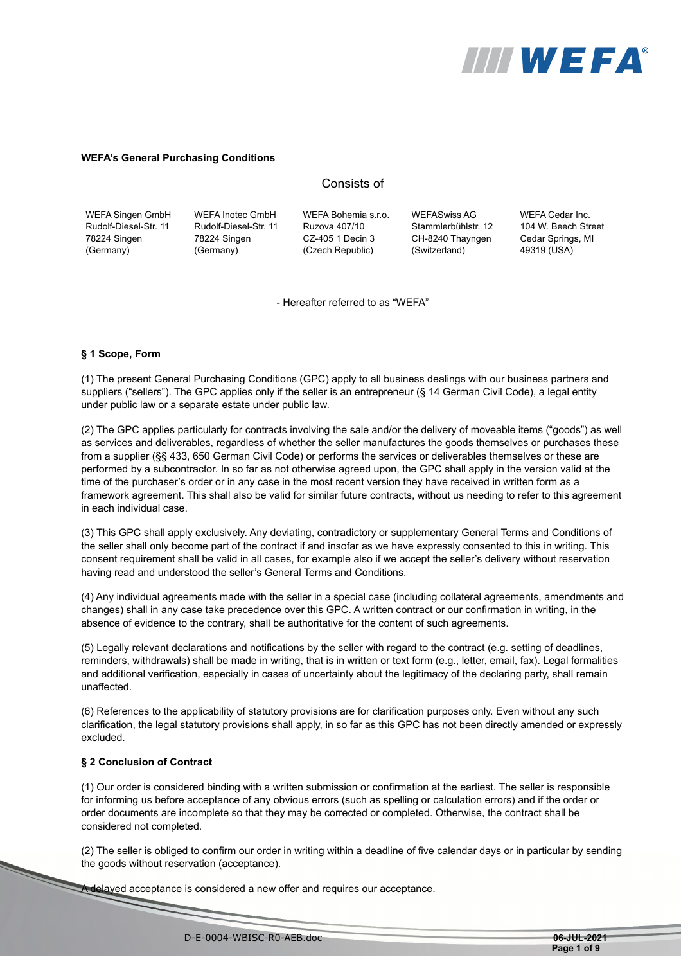

#### **WEFA's General Purchasing Conditions**

# Consists of

| WEFA Singen GmbH      | <b>WEFA Inotec GmbH</b> |
|-----------------------|-------------------------|
| Rudolf-Diesel-Str. 11 | Rudolf-Diesel-Str. 11   |
| 78224 Singen          | 78224 Singen            |
| (Germany)             | (Germany)               |

WEFA Bohemia s.r.o. Ruzova 407/10 CZ-405 1 Decin 3 (Czech Republic)

WEFASwiss AG Stammlerbühlstr. 12 CH-8240 Thayngen (Switzerland)

WEFA Cedar Inc. 104 W. Beech Street Cedar Springs, MI 49319 (USA)

- Hereafter referred to as "WEFA"

#### **§ 1 Scope, Form**

(1) The present General Purchasing Conditions (GPC) apply to all business dealings with our business partners and suppliers ("sellers"). The GPC applies only if the seller is an entrepreneur (§ 14 German Civil Code), a legal entity under public law or a separate estate under public law.

(2) The GPC applies particularly for contracts involving the sale and/or the delivery of moveable items ("goods") as well as services and deliverables, regardless of whether the seller manufactures the goods themselves or purchases these from a supplier (§§ 433, 650 German Civil Code) or performs the services or deliverables themselves or these are performed by a subcontractor. In so far as not otherwise agreed upon, the GPC shall apply in the version valid at the time of the purchaser's order or in any case in the most recent version they have received in written form as a framework agreement. This shall also be valid for similar future contracts, without us needing to refer to this agreement in each individual case.

(3) This GPC shall apply exclusively. Any deviating, contradictory or supplementary General Terms and Conditions of the seller shall only become part of the contract if and insofar as we have expressly consented to this in writing. This consent requirement shall be valid in all cases, for example also if we accept the seller's delivery without reservation having read and understood the seller's General Terms and Conditions.

(4) Any individual agreements made with the seller in a special case (including collateral agreements, amendments and changes) shall in any case take precedence over this GPC. A written contract or our confirmation in writing, in the absence of evidence to the contrary, shall be authoritative for the content of such agreements.

(5) Legally relevant declarations and notifications by the seller with regard to the contract (e.g. setting of deadlines, reminders, withdrawals) shall be made in writing, that is in written or text form (e.g., letter, email, fax). Legal formalities and additional verification, especially in cases of uncertainty about the legitimacy of the declaring party, shall remain unaffected.

(6) References to the applicability of statutory provisions are for clarification purposes only. Even without any such clarification, the legal statutory provisions shall apply, in so far as this GPC has not been directly amended or expressly excluded.

# **§ 2 Conclusion of Contract**

(1) Our order is considered binding with a written submission or confirmation at the earliest. The seller is responsible for informing us before acceptance of any obvious errors (such as spelling or calculation errors) and if the order or order documents are incomplete so that they may be corrected or completed. Otherwise, the contract shall be considered not completed.

(2) The seller is obliged to confirm our order in writing within a deadline of five calendar days or in particular by sending the goods without reservation (acceptance).

A delayed acceptance is considered a new offer and requires our acceptance.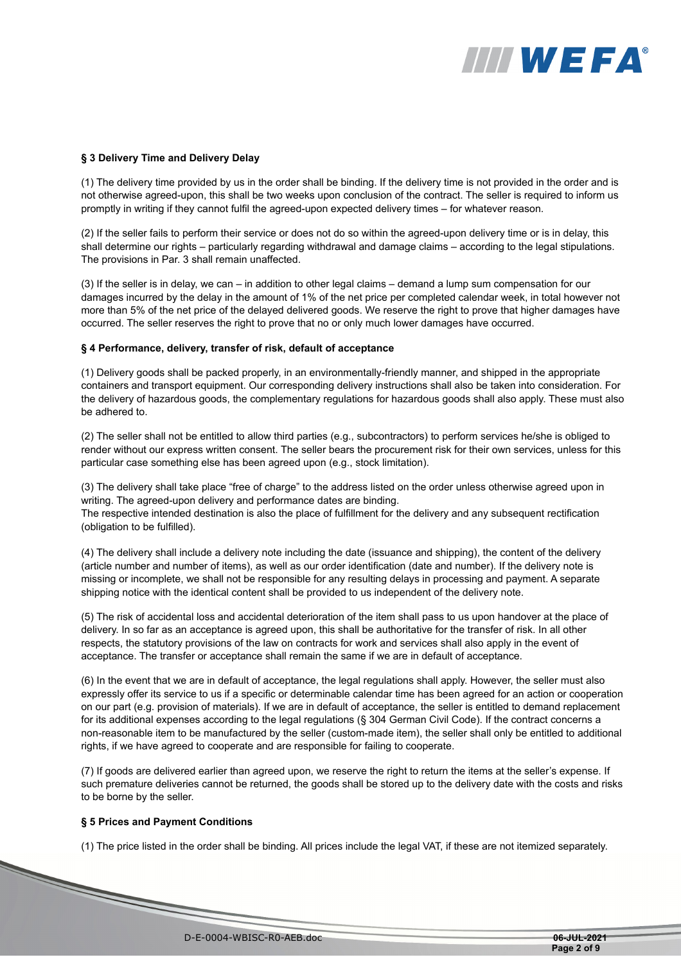# **IIII WEFA®**

## **§ 3 Delivery Time and Delivery Delay**

(1) The delivery time provided by us in the order shall be binding. If the delivery time is not provided in the order and is not otherwise agreed-upon, this shall be two weeks upon conclusion of the contract. The seller is required to inform us promptly in writing if they cannot fulfil the agreed-upon expected delivery times – for whatever reason.

(2) If the seller fails to perform their service or does not do so within the agreed-upon delivery time or is in delay, this shall determine our rights – particularly regarding withdrawal and damage claims – according to the legal stipulations. The provisions in Par. 3 shall remain unaffected.

(3) If the seller is in delay, we can – in addition to other legal claims – demand a lump sum compensation for our damages incurred by the delay in the amount of 1% of the net price per completed calendar week, in total however not more than 5% of the net price of the delayed delivered goods. We reserve the right to prove that higher damages have occurred. The seller reserves the right to prove that no or only much lower damages have occurred.

## **§ 4 Performance, delivery, transfer of risk, default of acceptance**

(1) Delivery goods shall be packed properly, in an environmentally-friendly manner, and shipped in the appropriate containers and transport equipment. Our corresponding delivery instructions shall also be taken into consideration. For the delivery of hazardous goods, the complementary regulations for hazardous goods shall also apply. These must also be adhered to.

(2) The seller shall not be entitled to allow third parties (e.g., subcontractors) to perform services he/she is obliged to render without our express written consent. The seller bears the procurement risk for their own services, unless for this particular case something else has been agreed upon (e.g., stock limitation).

(3) The delivery shall take place "free of charge" to the address listed on the order unless otherwise agreed upon in writing. The agreed-upon delivery and performance dates are binding.

The respective intended destination is also the place of fulfillment for the delivery and any subsequent rectification (obligation to be fulfilled).

(4) The delivery shall include a delivery note including the date (issuance and shipping), the content of the delivery (article number and number of items), as well as our order identification (date and number). If the delivery note is missing or incomplete, we shall not be responsible for any resulting delays in processing and payment. A separate shipping notice with the identical content shall be provided to us independent of the delivery note.

(5) The risk of accidental loss and accidental deterioration of the item shall pass to us upon handover at the place of delivery. In so far as an acceptance is agreed upon, this shall be authoritative for the transfer of risk. In all other respects, the statutory provisions of the law on contracts for work and services shall also apply in the event of acceptance. The transfer or acceptance shall remain the same if we are in default of acceptance.

(6) In the event that we are in default of acceptance, the legal regulations shall apply. However, the seller must also expressly offer its service to us if a specific or determinable calendar time has been agreed for an action or cooperation on our part (e.g. provision of materials). If we are in default of acceptance, the seller is entitled to demand replacement for its additional expenses according to the legal regulations (§ 304 German Civil Code). If the contract concerns a non-reasonable item to be manufactured by the seller (custom-made item), the seller shall only be entitled to additional rights, if we have agreed to cooperate and are responsible for failing to cooperate.

(7) If goods are delivered earlier than agreed upon, we reserve the right to return the items at the seller's expense. If such premature deliveries cannot be returned, the goods shall be stored up to the delivery date with the costs and risks to be borne by the seller.

## **§ 5 Prices and Payment Conditions**

**Source of the Common Service** 

(1) The price listed in the order shall be binding. All prices include the legal VAT, if these are not itemized separately.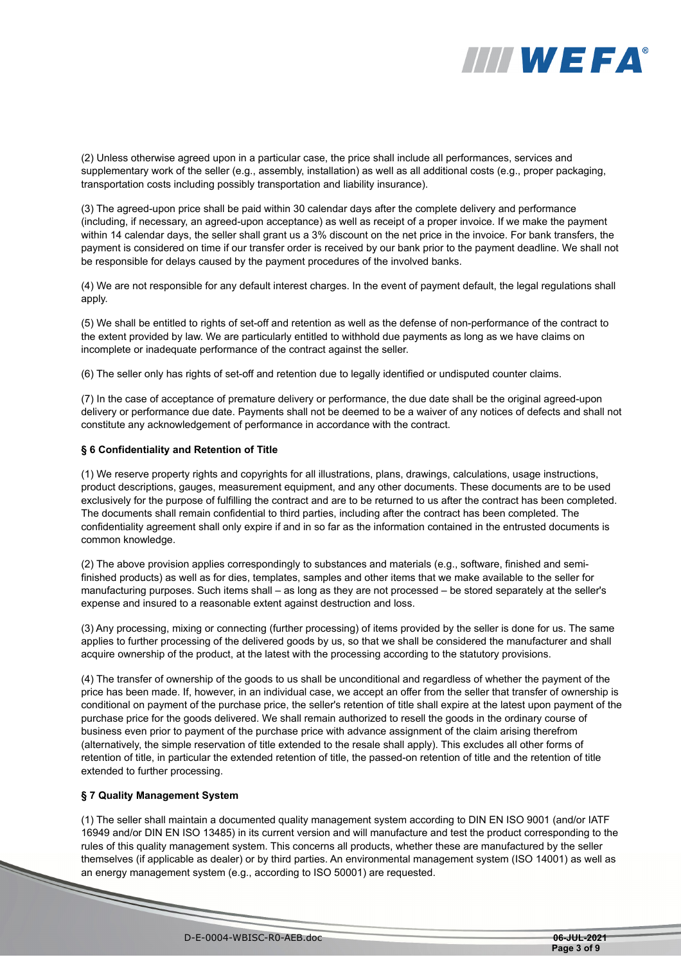

(2) Unless otherwise agreed upon in a particular case, the price shall include all performances, services and supplementary work of the seller (e.g., assembly, installation) as well as all additional costs (e.g., proper packaging, transportation costs including possibly transportation and liability insurance).

(3) The agreed-upon price shall be paid within 30 calendar days after the complete delivery and performance (including, if necessary, an agreed-upon acceptance) as well as receipt of a proper invoice. If we make the payment within 14 calendar days, the seller shall grant us a 3% discount on the net price in the invoice. For bank transfers, the payment is considered on time if our transfer order is received by our bank prior to the payment deadline. We shall not be responsible for delays caused by the payment procedures of the involved banks.

(4) We are not responsible for any default interest charges. In the event of payment default, the legal regulations shall apply.

(5) We shall be entitled to rights of set-off and retention as well as the defense of non-performance of the contract to the extent provided by law. We are particularly entitled to withhold due payments as long as we have claims on incomplete or inadequate performance of the contract against the seller.

(6) The seller only has rights of set-off and retention due to legally identified or undisputed counter claims.

(7) In the case of acceptance of premature delivery or performance, the due date shall be the original agreed-upon delivery or performance due date. Payments shall not be deemed to be a waiver of any notices of defects and shall not constitute any acknowledgement of performance in accordance with the contract.

# **§ 6 Confidentiality and Retention of Title**

(1) We reserve property rights and copyrights for all illustrations, plans, drawings, calculations, usage instructions, product descriptions, gauges, measurement equipment, and any other documents. These documents are to be used exclusively for the purpose of fulfilling the contract and are to be returned to us after the contract has been completed. The documents shall remain confidential to third parties, including after the contract has been completed. The confidentiality agreement shall only expire if and in so far as the information contained in the entrusted documents is common knowledge.

(2) The above provision applies correspondingly to substances and materials (e.g., software, finished and semifinished products) as well as for dies, templates, samples and other items that we make available to the seller for manufacturing purposes. Such items shall – as long as they are not processed – be stored separately at the seller's expense and insured to a reasonable extent against destruction and loss.

(3) Any processing, mixing or connecting (further processing) of items provided by the seller is done for us. The same applies to further processing of the delivered goods by us, so that we shall be considered the manufacturer and shall acquire ownership of the product, at the latest with the processing according to the statutory provisions.

(4) The transfer of ownership of the goods to us shall be unconditional and regardless of whether the payment of the price has been made. If, however, in an individual case, we accept an offer from the seller that transfer of ownership is conditional on payment of the purchase price, the seller's retention of title shall expire at the latest upon payment of the purchase price for the goods delivered. We shall remain authorized to resell the goods in the ordinary course of business even prior to payment of the purchase price with advance assignment of the claim arising therefrom (alternatively, the simple reservation of title extended to the resale shall apply). This excludes all other forms of retention of title, in particular the extended retention of title, the passed-on retention of title and the retention of title extended to further processing.

# **§ 7 Quality Management System**

(1) The seller shall maintain a documented quality management system according to DIN EN ISO 9001 (and/or IATF 16949 and/or DIN EN ISO 13485) in its current version and will manufacture and test the product corresponding to the rules of this quality management system. This concerns all products, whether these are manufactured by the seller themselves (if applicable as dealer) or by third parties. An environmental management system (ISO 14001) as well as an energy management system (e.g., according to ISO 50001) are requested.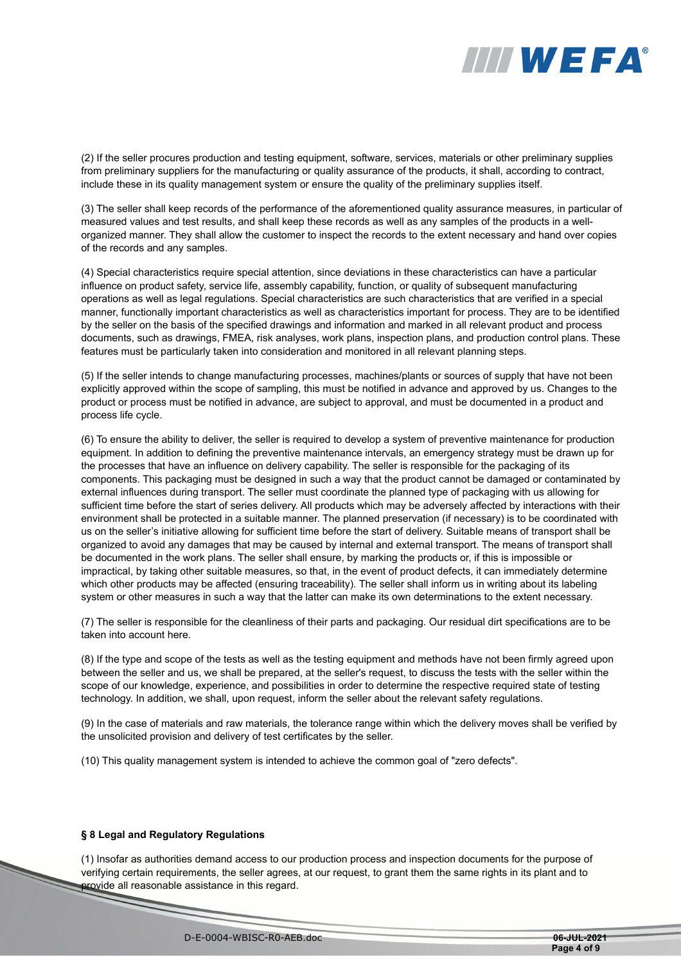

(2) If the seller procures production and testing equipment, software, services, materials or other preliminary supplies from preliminary suppliers for the manufacturing or quality assurance of the products, it shall, according to contract, include these in its quality management system or ensure the quality of the preliminary supplies itself.

(3) The seller shall keep records of the performance of the aforementioned quality assurance measures, in particular of measured values and test results, and shall keep these records as well as any samples of the products in a wellorganized manner. They shall allow the customer to inspect the records to the extent necessary and hand over copies of the records and any samples.

(4) Special characteristics require special attention, since deviations in these characteristics can have a particular influence on product safety, service life, assembly capability, function, or quality of subsequent manufacturing operations as well as legal regulations. Special characteristics are such characteristics that are verified in a special manner, functionally important characteristics as well as characteristics important for process. They are to be identified by the seller on the basis of the specified drawings and information and marked in all relevant product and process documents, such as drawings, FMEA, risk analyses, work plans, inspection plans, and production control plans. These features must be particularly taken into consideration and monitored in all relevant planning steps.

(5) If the seller intends to change manufacturing processes, machines/plants or sources of supply that have not been explicitly approved within the scope of sampling, this must be notified in advance and approved by us. Changes to the product or process must be notified in advance, are subject to approval, and must be documented in a product and process life cycle.

(6) To ensure the ability to deliver, the seller is required to develop a system of preventive maintenance for production equipment. In addition to defining the preventive maintenance intervals, an emergency strategy must be drawn up for the processes that have an influence on delivery capability. The seller is responsible for the packaging of its components. This packaging must be designed in such a way that the product cannot be damaged or contaminated by external influences during transport. The seller must coordinate the planned type of packaging with us allowing for sufficient time before the start of series delivery. All products which may be adversely affected by interactions with their environment shall be protected in a suitable manner. The planned preservation (if necessary) is to be coordinated with us on the seller's initiative allowing for sufficient time before the start of delivery. Suitable means of transport shall be organized to avoid any damages that may be caused by internal and external transport. The means of transport shall be documented in the work plans. The seller shall ensure, by marking the products or, if this is impossible or impractical, by taking other suitable measures, so that, in the event of product defects, it can immediately determine which other products may be affected (ensuring traceability). The seller shall inform us in writing about its labeling system or other measures in such a way that the latter can make its own determinations to the extent necessary.

(7) The seller is responsible for the cleanliness of their parts and packaging. Our residual dirt specifications are to be taken into account here.

(8) If the type and scope of the tests as well as the testing equipment and methods have not been firmly agreed upon between the seller and us, we shall be prepared, at the seller's request, to discuss the tests with the seller within the scope of our knowledge, experience, and possibilities in order to determine the respective required state of testing technology. In addition, we shall, upon request, inform the seller about the relevant safety regulations.

(9) In the case of materials and raw materials, the tolerance range within which the delivery moves shall be verified by the unsolicited provision and delivery of test certificates by the seller.

(10) This quality management system is intended to achieve the common goal of "zero defects".

#### **§ 8 Legal and Regulatory Regulations**

(1) Insofar as authorities demand access to our production process and inspection documents for the purpose of verifying certain requirements, the seller agrees, at our request, to grant them the same rights in its plant and to provide all reasonable assistance in this regard.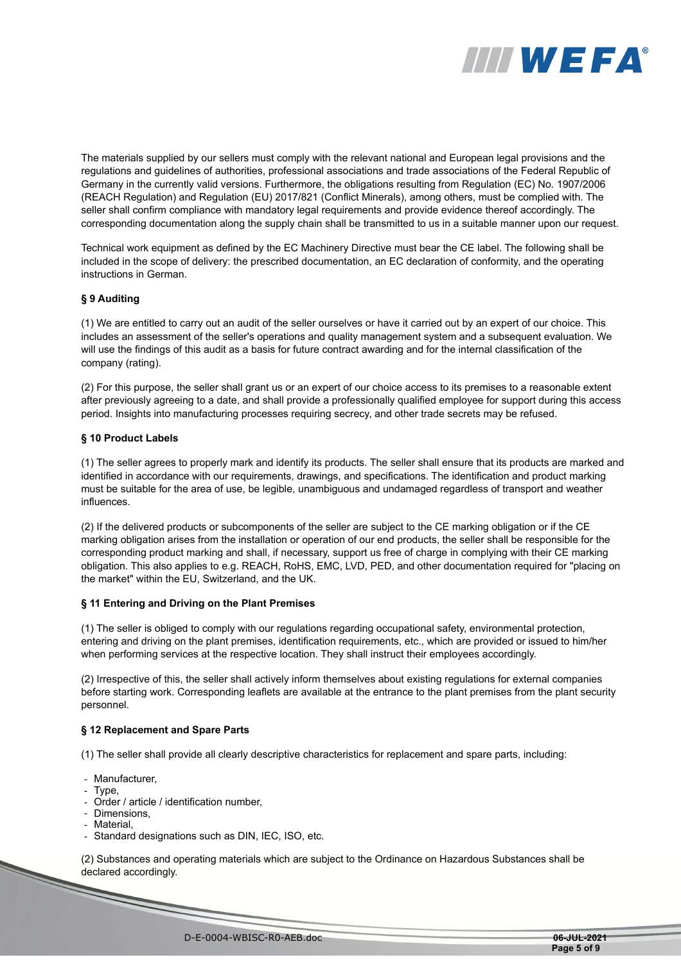

The materials supplied by our sellers must comply with the relevant national and European legal provisions and the regulations and guidelines of authorities, professional associations and trade associations of the Federal Republic of Germany in the currently valid versions. Furthermore, the obligations resulting from Regulation (EC) No. 1907/2006 (REACH Regulation) and Regulation (EU) 2017/821 (Conflict Minerals), among others, must be complied with. The seller shall confirm compliance with mandatory legal requirements and provide evidence thereof accordingly. The corresponding documentation along the supply chain shall be transmitted to us in a suitable manner upon our request.

Technical work equipment as defined by the EC Machinery Directive must bear the CE label. The following shall be included in the scope of delivery: the prescribed documentation, an EC declaration of conformity, and the operating instructions in German.

## **§ 9 Auditing**

(1) We are entitled to carry out an audit of the seller ourselves or have it carried out by an expert of our choice. This includes an assessment of the seller's operations and quality management system and a subsequent evaluation. We will use the findings of this audit as a basis for future contract awarding and for the internal classification of the company (rating).

(2) For this purpose, the seller shall grant us or an expert of our choice access to its premises to a reasonable extent after previously agreeing to a date, and shall provide a professionally qualified employee for support during this access period. Insights into manufacturing processes requiring secrecy, and other trade secrets may be refused.

## **§ 10 Product Labels**

(1) The seller agrees to properly mark and identify its products. The seller shall ensure that its products are marked and identified in accordance with our requirements, drawings, and specifications. The identification and product marking must be suitable for the area of use, be legible, unambiguous and undamaged regardless of transport and weather influences.

(2) If the delivered products or subcomponents of the seller are subject to the CE marking obligation or if the CE marking obligation arises from the installation or operation of our end products, the seller shall be responsible for the corresponding product marking and shall, if necessary, support us free of charge in complying with their CE marking obligation. This also applies to e.g. REACH, RoHS, EMC, LVD, PED, and other documentation required for "placing on the market" within the EU, Switzerland, and the UK.

#### **§ 11 Entering and Driving on the Plant Premises**

(1) The seller is obliged to comply with our regulations regarding occupational safety, environmental protection, entering and driving on the plant premises, identification requirements, etc., which are provided or issued to him/her when performing services at the respective location. They shall instruct their employees accordingly.

(2) Irrespective of this, the seller shall actively inform themselves about existing regulations for external companies before starting work. Corresponding leaflets are available at the entrance to the plant premises from the plant security personnel.

# **§ 12 Replacement and Spare Parts**

(1) The seller shall provide all clearly descriptive characteristics for replacement and spare parts, including:

- Manufacturer,
- Type,
- Order / article / identification number,
- Dimensions,
- Material
- Standard designations such as DIN, IEC, ISO, etc.

(2) Substances and operating materials which are subject to the Ordinance on Hazardous Substances shall be declared accordingly.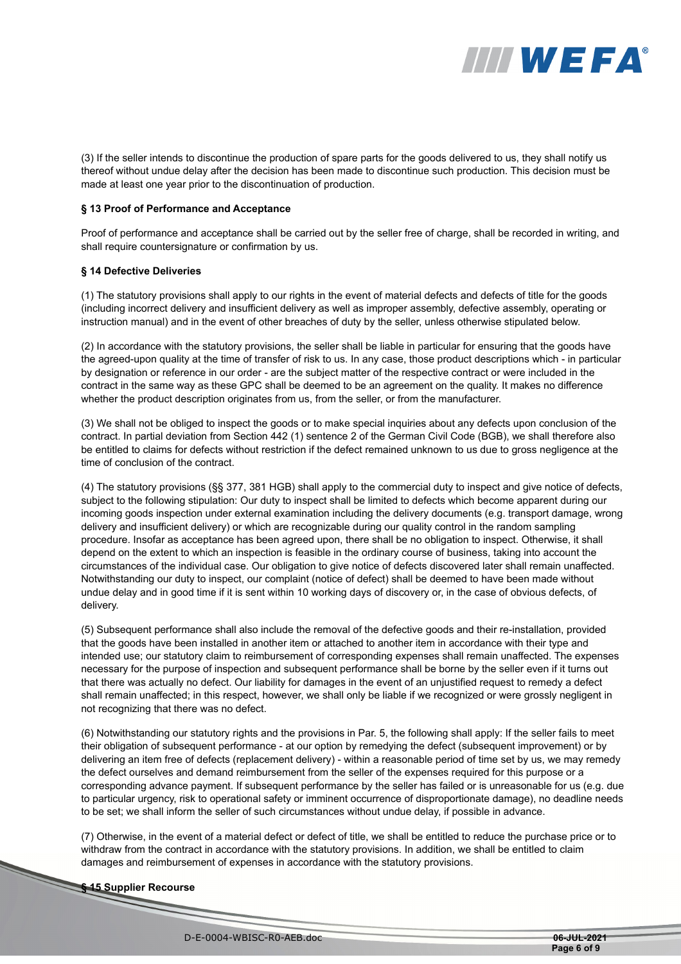

(3) If the seller intends to discontinue the production of spare parts for the goods delivered to us, they shall notify us thereof without undue delay after the decision has been made to discontinue such production. This decision must be made at least one year prior to the discontinuation of production.

#### **§ 13 Proof of Performance and Acceptance**

Proof of performance and acceptance shall be carried out by the seller free of charge, shall be recorded in writing, and shall require countersignature or confirmation by us.

## **§ 14 Defective Deliveries**

(1) The statutory provisions shall apply to our rights in the event of material defects and defects of title for the goods (including incorrect delivery and insufficient delivery as well as improper assembly, defective assembly, operating or instruction manual) and in the event of other breaches of duty by the seller, unless otherwise stipulated below.

(2) In accordance with the statutory provisions, the seller shall be liable in particular for ensuring that the goods have the agreed-upon quality at the time of transfer of risk to us. In any case, those product descriptions which - in particular by designation or reference in our order - are the subject matter of the respective contract or were included in the contract in the same way as these GPC shall be deemed to be an agreement on the quality. It makes no difference whether the product description originates from us, from the seller, or from the manufacturer.

(3) We shall not be obliged to inspect the goods or to make special inquiries about any defects upon conclusion of the contract. In partial deviation from Section 442 (1) sentence 2 of the German Civil Code (BGB), we shall therefore also be entitled to claims for defects without restriction if the defect remained unknown to us due to gross negligence at the time of conclusion of the contract.

(4) The statutory provisions (§§ 377, 381 HGB) shall apply to the commercial duty to inspect and give notice of defects, subject to the following stipulation: Our duty to inspect shall be limited to defects which become apparent during our incoming goods inspection under external examination including the delivery documents (e.g. transport damage, wrong delivery and insufficient delivery) or which are recognizable during our quality control in the random sampling procedure. Insofar as acceptance has been agreed upon, there shall be no obligation to inspect. Otherwise, it shall depend on the extent to which an inspection is feasible in the ordinary course of business, taking into account the circumstances of the individual case. Our obligation to give notice of defects discovered later shall remain unaffected. Notwithstanding our duty to inspect, our complaint (notice of defect) shall be deemed to have been made without undue delay and in good time if it is sent within 10 working days of discovery or, in the case of obvious defects, of delivery.

(5) Subsequent performance shall also include the removal of the defective goods and their re-installation, provided that the goods have been installed in another item or attached to another item in accordance with their type and intended use; our statutory claim to reimbursement of corresponding expenses shall remain unaffected. The expenses necessary for the purpose of inspection and subsequent performance shall be borne by the seller even if it turns out that there was actually no defect. Our liability for damages in the event of an unjustified request to remedy a defect shall remain unaffected; in this respect, however, we shall only be liable if we recognized or were grossly negligent in not recognizing that there was no defect.

(6) Notwithstanding our statutory rights and the provisions in Par. 5, the following shall apply: If the seller fails to meet their obligation of subsequent performance - at our option by remedying the defect (subsequent improvement) or by delivering an item free of defects (replacement delivery) - within a reasonable period of time set by us, we may remedy the defect ourselves and demand reimbursement from the seller of the expenses required for this purpose or a corresponding advance payment. If subsequent performance by the seller has failed or is unreasonable for us (e.g. due to particular urgency, risk to operational safety or imminent occurrence of disproportionate damage), no deadline needs to be set; we shall inform the seller of such circumstances without undue delay, if possible in advance.

(7) Otherwise, in the event of a material defect or defect of title, we shall be entitled to reduce the purchase price or to withdraw from the contract in accordance with the statutory provisions. In addition, we shall be entitled to claim damages and reimbursement of expenses in accordance with the statutory provisions.

#### **§ 15 Supplier Recourse**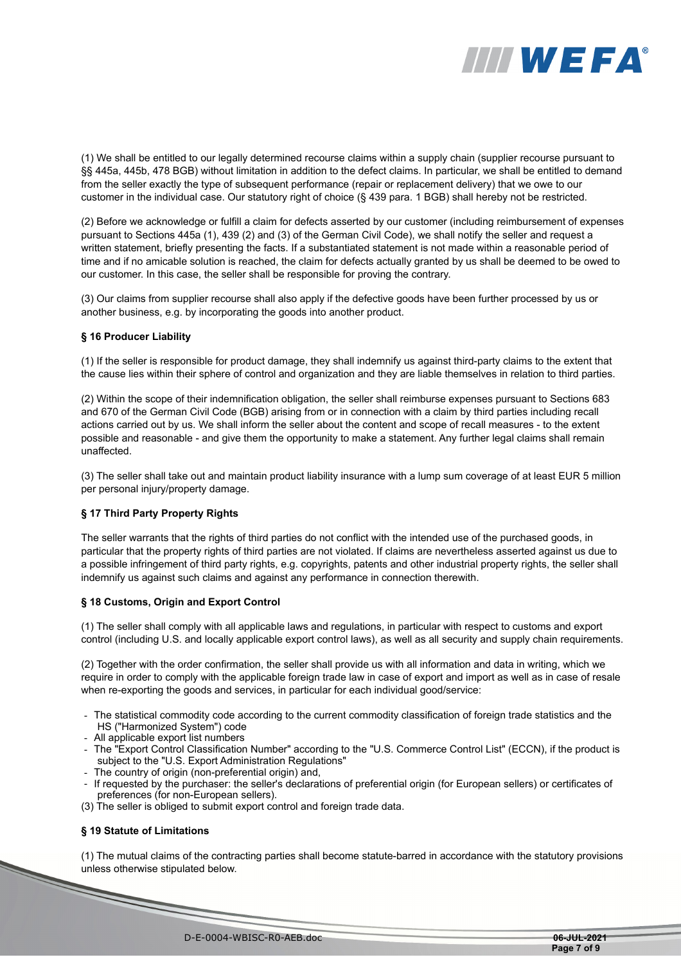

(1) We shall be entitled to our legally determined recourse claims within a supply chain (supplier recourse pursuant to §§ 445a, 445b, 478 BGB) without limitation in addition to the defect claims. In particular, we shall be entitled to demand from the seller exactly the type of subsequent performance (repair or replacement delivery) that we owe to our customer in the individual case. Our statutory right of choice (§ 439 para. 1 BGB) shall hereby not be restricted.

(2) Before we acknowledge or fulfill a claim for defects asserted by our customer (including reimbursement of expenses pursuant to Sections 445a (1), 439 (2) and (3) of the German Civil Code), we shall notify the seller and request a written statement, briefly presenting the facts. If a substantiated statement is not made within a reasonable period of time and if no amicable solution is reached, the claim for defects actually granted by us shall be deemed to be owed to our customer. In this case, the seller shall be responsible for proving the contrary.

(3) Our claims from supplier recourse shall also apply if the defective goods have been further processed by us or another business, e.g. by incorporating the goods into another product.

## **§ 16 Producer Liability**

(1) If the seller is responsible for product damage, they shall indemnify us against third-party claims to the extent that the cause lies within their sphere of control and organization and they are liable themselves in relation to third parties.

(2) Within the scope of their indemnification obligation, the seller shall reimburse expenses pursuant to Sections 683 and 670 of the German Civil Code (BGB) arising from or in connection with a claim by third parties including recall actions carried out by us. We shall inform the seller about the content and scope of recall measures - to the extent possible and reasonable - and give them the opportunity to make a statement. Any further legal claims shall remain unaffected.

(3) The seller shall take out and maintain product liability insurance with a lump sum coverage of at least EUR 5 million per personal injury/property damage.

#### **§ 17 Third Party Property Rights**

The seller warrants that the rights of third parties do not conflict with the intended use of the purchased goods, in particular that the property rights of third parties are not violated. If claims are nevertheless asserted against us due to a possible infringement of third party rights, e.g. copyrights, patents and other industrial property rights, the seller shall indemnify us against such claims and against any performance in connection therewith.

#### **§ 18 Customs, Origin and Export Control**

(1) The seller shall comply with all applicable laws and regulations, in particular with respect to customs and export control (including U.S. and locally applicable export control laws), as well as all security and supply chain requirements.

(2) Together with the order confirmation, the seller shall provide us with all information and data in writing, which we require in order to comply with the applicable foreign trade law in case of export and import as well as in case of resale when re-exporting the goods and services, in particular for each individual good/service:

- The statistical commodity code according to the current commodity classification of foreign trade statistics and the HS ("Harmonized System") code
- All applicable export list numbers
- The "Export Control Classification Number" according to the "U.S. Commerce Control List" (ECCN), if the product is subject to the "U.S. Export Administration Regulations"
- The country of origin (non-preferential origin) and,
- If requested by the purchaser: the seller's declarations of preferential origin (for European sellers) or certificates of preferences (for non-European sellers).
- (3) The seller is obliged to submit export control and foreign trade data.

#### **§ 19 Statute of Limitations**

(1) The mutual claims of the contracting parties shall become statute-barred in accordance with the statutory provisions unless otherwise stipulated below.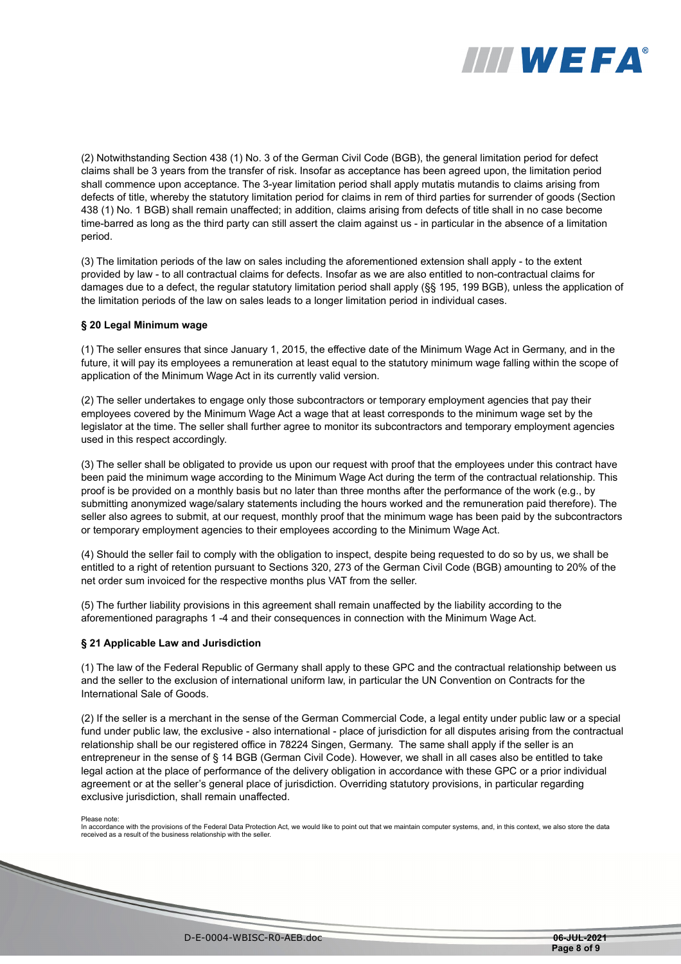

(2) Notwithstanding Section 438 (1) No. 3 of the German Civil Code (BGB), the general limitation period for defect claims shall be 3 years from the transfer of risk. Insofar as acceptance has been agreed upon, the limitation period shall commence upon acceptance. The 3-year limitation period shall apply mutatis mutandis to claims arising from defects of title, whereby the statutory limitation period for claims in rem of third parties for surrender of goods (Section 438 (1) No. 1 BGB) shall remain unaffected; in addition, claims arising from defects of title shall in no case become time-barred as long as the third party can still assert the claim against us - in particular in the absence of a limitation period.

(3) The limitation periods of the law on sales including the aforementioned extension shall apply - to the extent provided by law - to all contractual claims for defects. Insofar as we are also entitled to non-contractual claims for damages due to a defect, the regular statutory limitation period shall apply (§§ 195, 199 BGB), unless the application of the limitation periods of the law on sales leads to a longer limitation period in individual cases.

## **§ 20 Legal Minimum wage**

(1) The seller ensures that since January 1, 2015, the effective date of the Minimum Wage Act in Germany, and in the future, it will pay its employees a remuneration at least equal to the statutory minimum wage falling within the scope of application of the Minimum Wage Act in its currently valid version.

(2) The seller undertakes to engage only those subcontractors or temporary employment agencies that pay their employees covered by the Minimum Wage Act a wage that at least corresponds to the minimum wage set by the legislator at the time. The seller shall further agree to monitor its subcontractors and temporary employment agencies used in this respect accordingly.

(3) The seller shall be obligated to provide us upon our request with proof that the employees under this contract have been paid the minimum wage according to the Minimum Wage Act during the term of the contractual relationship. This proof is be provided on a monthly basis but no later than three months after the performance of the work (e.g., by submitting anonymized wage/salary statements including the hours worked and the remuneration paid therefore). The seller also agrees to submit, at our request, monthly proof that the minimum wage has been paid by the subcontractors or temporary employment agencies to their employees according to the Minimum Wage Act.

(4) Should the seller fail to comply with the obligation to inspect, despite being requested to do so by us, we shall be entitled to a right of retention pursuant to Sections 320, 273 of the German Civil Code (BGB) amounting to 20% of the net order sum invoiced for the respective months plus VAT from the seller.

(5) The further liability provisions in this agreement shall remain unaffected by the liability according to the aforementioned paragraphs 1 -4 and their consequences in connection with the Minimum Wage Act.

# **§ 21 Applicable Law and Jurisdiction**

(1) The law of the Federal Republic of Germany shall apply to these GPC and the contractual relationship between us and the seller to the exclusion of international uniform law, in particular the UN Convention on Contracts for the International Sale of Goods.

(2) If the seller is a merchant in the sense of the German Commercial Code, a legal entity under public law or a special fund under public law, the exclusive - also international - place of jurisdiction for all disputes arising from the contractual relationship shall be our registered office in 78224 Singen, Germany. The same shall apply if the seller is an entrepreneur in the sense of § 14 BGB (German Civil Code). However, we shall in all cases also be entitled to take legal action at the place of performance of the delivery obligation in accordance with these GPC or a prior individual agreement or at the seller's general place of jurisdiction. Overriding statutory provisions, in particular regarding exclusive jurisdiction, shall remain unaffected.

**Service Service Service** 

Please note:<br>In accordance with the provisions of the Federal Data Protection Act, we would like to point out that we maintain computer systems, and, in this context, we also store the data received as a result of the business relationship with the seller.